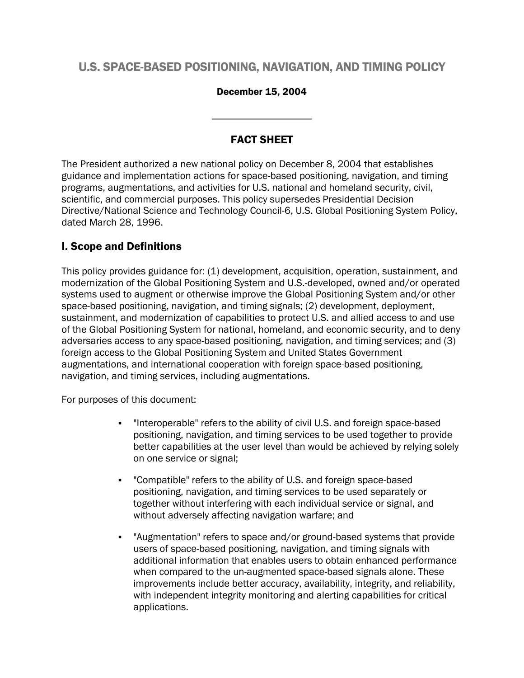# U.S. SPACE-BASED POSITIONING, NAVIGATION, AND TIMING POLICY

#### December 15, 2004

#### FACT SHEET

The President authorized a new national policy on December 8, 2004 that establishes guidance and implementation actions for space-based positioning, navigation, and timing programs, augmentations, and activities for U.S. national and homeland security, civil, scientific, and commercial purposes. This policy supersedes Presidential Decision Directive/National Science and Technology Council-6, U.S. Global Positioning System Policy, dated March 28, 1996.

#### I. Scope and Definitions

This policy provides guidance for: (1) development, acquisition, operation, sustainment, and modernization of the Global Positioning System and U.S.-developed, owned and/or operated systems used to augment or otherwise improve the Global Positioning System and/or other space-based positioning, navigation, and timing signals; (2) development, deployment, sustainment, and modernization of capabilities to protect U.S. and allied access to and use of the Global Positioning System for national, homeland, and economic security, and to deny adversaries access to any space-based positioning, navigation, and timing services; and (3) foreign access to the Global Positioning System and United States Government augmentations, and international cooperation with foreign space-based positioning, navigation, and timing services, including augmentations.

For purposes of this document:

- "Interoperable" refers to the ability of civil U.S. and foreign space-based positioning, navigation, and timing services to be used together to provide better capabilities at the user level than would be achieved by relying solely on one service or signal;
- "Compatible" refers to the ability of U.S. and foreign space-based positioning, navigation, and timing services to be used separately or together without interfering with each individual service or signal, and without adversely affecting navigation warfare; and
- "Augmentation" refers to space and/or ground-based systems that provide users of space-based positioning, navigation, and timing signals with additional information that enables users to obtain enhanced performance when compared to the un-augmented space-based signals alone. These improvements include better accuracy, availability, integrity, and reliability, with independent integrity monitoring and alerting capabilities for critical applications.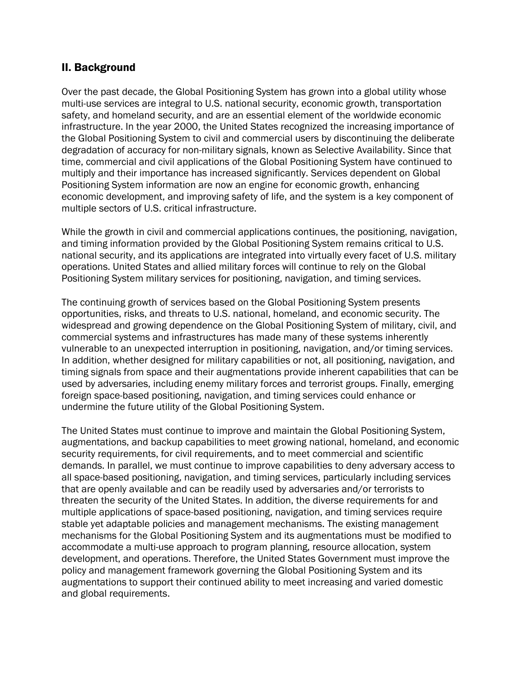#### II. Background

Over the past decade, the Global Positioning System has grown into a global utility whose multi-use services are integral to U.S. national security, economic growth, transportation safety, and homeland security, and are an essential element of the worldwide economic infrastructure. In the year 2000, the United States recognized the increasing importance of the Global Positioning System to civil and commercial users by discontinuing the deliberate degradation of accuracy for non-military signals, known as Selective Availability. Since that time, commercial and civil applications of the Global Positioning System have continued to multiply and their importance has increased significantly. Services dependent on Global Positioning System information are now an engine for economic growth, enhancing economic development, and improving safety of life, and the system is a key component of multiple sectors of U.S. critical infrastructure.

While the growth in civil and commercial applications continues, the positioning, navigation, and timing information provided by the Global Positioning System remains critical to U.S. national security, and its applications are integrated into virtually every facet of U.S. military operations. United States and allied military forces will continue to rely on the Global Positioning System military services for positioning, navigation, and timing services.

The continuing growth of services based on the Global Positioning System presents opportunities, risks, and threats to U.S. national, homeland, and economic security. The widespread and growing dependence on the Global Positioning System of military, civil, and commercial systems and infrastructures has made many of these systems inherently vulnerable to an unexpected interruption in positioning, navigation, and/or timing services. In addition, whether designed for military capabilities or not, all positioning, navigation, and timing signals from space and their augmentations provide inherent capabilities that can be used by adversaries, including enemy military forces and terrorist groups. Finally, emerging foreign space-based positioning, navigation, and timing services could enhance or undermine the future utility of the Global Positioning System.

The United States must continue to improve and maintain the Global Positioning System, augmentations, and backup capabilities to meet growing national, homeland, and economic security requirements, for civil requirements, and to meet commercial and scientific demands. In parallel, we must continue to improve capabilities to deny adversary access to all space-based positioning, navigation, and timing services, particularly including services that are openly available and can be readily used by adversaries and/or terrorists to threaten the security of the United States. In addition, the diverse requirements for and multiple applications of space-based positioning, navigation, and timing services require stable yet adaptable policies and management mechanisms. The existing management mechanisms for the Global Positioning System and its augmentations must be modified to accommodate a multi-use approach to program planning, resource allocation, system development, and operations. Therefore, the United States Government must improve the policy and management framework governing the Global Positioning System and its augmentations to support their continued ability to meet increasing and varied domestic and global requirements.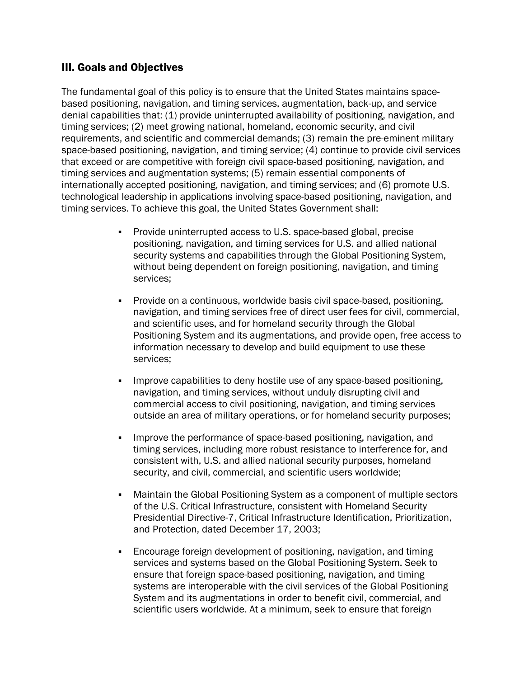## III. Goals and Objectives

The fundamental goal of this policy is to ensure that the United States maintains spacebased positioning, navigation, and timing services, augmentation, back-up, and service denial capabilities that: (1) provide uninterrupted availability of positioning, navigation, and timing services; (2) meet growing national, homeland, economic security, and civil requirements, and scientific and commercial demands; (3) remain the pre-eminent military space-based positioning, navigation, and timing service; (4) continue to provide civil services that exceed or are competitive with foreign civil space-based positioning, navigation, and timing services and augmentation systems; (5) remain essential components of internationally accepted positioning, navigation, and timing services; and (6) promote U.S. technological leadership in applications involving space-based positioning, navigation, and timing services. To achieve this goal, the United States Government shall:

- Provide uninterrupted access to U.S. space-based global, precise positioning, navigation, and timing services for U.S. and allied national security systems and capabilities through the Global Positioning System, without being dependent on foreign positioning, navigation, and timing services;
- Provide on a continuous, worldwide basis civil space-based, positioning, navigation, and timing services free of direct user fees for civil, commercial, and scientific uses, and for homeland security through the Global Positioning System and its augmentations, and provide open, free access to information necessary to develop and build equipment to use these services;
- Improve capabilities to deny hostile use of any space-based positioning, navigation, and timing services, without unduly disrupting civil and commercial access to civil positioning, navigation, and timing services outside an area of military operations, or for homeland security purposes;
- **IMPROVE the performance of space-based positioning, navigation, and** timing services, including more robust resistance to interference for, and consistent with, U.S. and allied national security purposes, homeland security, and civil, commercial, and scientific users worldwide;
- Maintain the Global Positioning System as a component of multiple sectors of the U.S. Critical Infrastructure, consistent with Homeland Security Presidential Directive-7, Critical Infrastructure Identification, Prioritization, and Protection, dated December 17, 2003;
- Encourage foreign development of positioning, navigation, and timing services and systems based on the Global Positioning System. Seek to ensure that foreign space-based positioning, navigation, and timing systems are interoperable with the civil services of the Global Positioning System and its augmentations in order to benefit civil, commercial, and scientific users worldwide. At a minimum, seek to ensure that foreign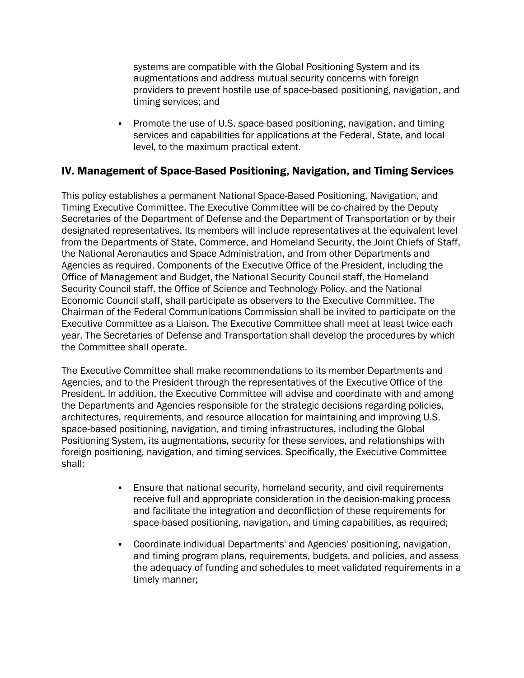systems are compatible with the Global Positioning System and its augmentations and address mutual security concerns with foreign providers to prevent hostile use of space-based positioning, navigation, and timing services; and

 Promote the use of U.S. space-based positioning, navigation, and timing services and capabilities for applications at the Federal, State, and local level, to the maximum practical extent.

### IV. Management of Space-Based Positioning, Navigation, and Timing Services

This policy establishes a permanent National Space-Based Positioning, Navigation, and Timing Executive Committee. The Executive Committee will be co-chaired by the Deputy Secretaries of the Department of Defense and the Department of Transportation or by their designated representatives. Its members will include representatives at the equivalent level from the Departments of State, Commerce, and Homeland Security, the Joint Chiefs of Staff, the National Aeronautics and Space Administration, and from other Departments and Agencies as required. Components of the Executive Office of the President, including the Office of Management and Budget, the National Security Council staff, the Homeland Security Council staff, the Office of Science and Technology Policy, and the National Economic Council staff, shall participate as observers to the Executive Committee. The Chairman of the Federal Communications Commission shall be invited to participate on the Executive Committee as a Liaison. The Executive Committee shall meet at least twice each year. The Secretaries of Defense and Transportation shall develop the procedures by which the Committee shall operate.

The Executive Committee shall make recommendations to its member Departments and Agencies, and to the President through the representatives of the Executive Office of the President. In addition, the Executive Committee will advise and coordinate with and among the Departments and Agencies responsible for the strategic decisions regarding policies, architectures, requirements, and resource allocation for maintaining and improving U.S. space-based positioning, navigation, and timing infrastructures, including the Global Positioning System, its augmentations, security for these services, and relationships with foreign positioning, navigation, and timing services. Specifically, the Executive Committee shall:

- Ensure that national security, homeland security, and civil requirements receive full and appropriate consideration in the decision-making process and facilitate the integration and deconfliction of these requirements for space-based positioning, navigation, and timing capabilities, as required;
- Coordinate individual Departments' and Agencies' positioning, navigation, and timing program plans, requirements, budgets, and policies, and assess the adequacy of funding and schedules to meet validated requirements in a timely manner;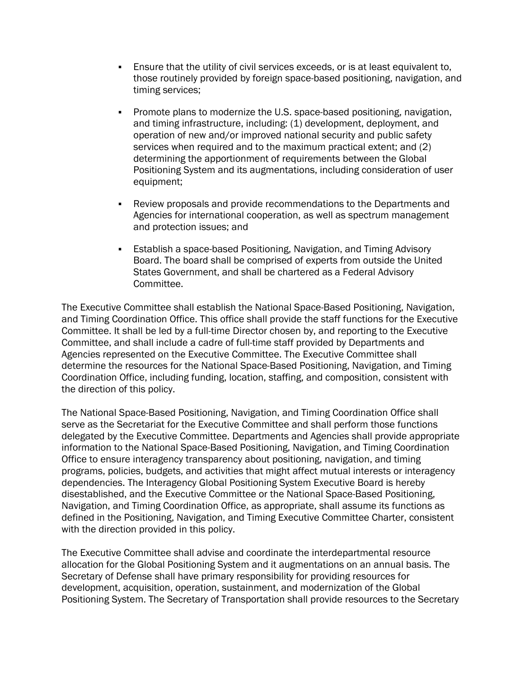- Ensure that the utility of civil services exceeds, or is at least equivalent to, those routinely provided by foreign space-based positioning, navigation, and timing services;
- Promote plans to modernize the U.S. space-based positioning, navigation, and timing infrastructure, including: (1) development, deployment, and operation of new and/or improved national security and public safety services when required and to the maximum practical extent; and (2) determining the apportionment of requirements between the Global Positioning System and its augmentations, including consideration of user equipment;
- Review proposals and provide recommendations to the Departments and Agencies for international cooperation, as well as spectrum management and protection issues; and
- Establish a space-based Positioning, Navigation, and Timing Advisory Board. The board shall be comprised of experts from outside the United States Government, and shall be chartered as a Federal Advisory Committee.

The Executive Committee shall establish the National Space-Based Positioning, Navigation, and Timing Coordination Office. This office shall provide the staff functions for the Executive Committee. It shall be led by a full-time Director chosen by, and reporting to the Executive Committee, and shall include a cadre of full-time staff provided by Departments and Agencies represented on the Executive Committee. The Executive Committee shall determine the resources for the National Space-Based Positioning, Navigation, and Timing Coordination Office, including funding, location, staffing, and composition, consistent with the direction of this policy.

The National Space-Based Positioning, Navigation, and Timing Coordination Office shall serve as the Secretariat for the Executive Committee and shall perform those functions delegated by the Executive Committee. Departments and Agencies shall provide appropriate information to the National Space-Based Positioning, Navigation, and Timing Coordination Office to ensure interagency transparency about positioning, navigation, and timing programs, policies, budgets, and activities that might affect mutual interests or interagency dependencies. The Interagency Global Positioning System Executive Board is hereby disestablished, and the Executive Committee or the National Space-Based Positioning, Navigation, and Timing Coordination Office, as appropriate, shall assume its functions as defined in the Positioning, Navigation, and Timing Executive Committee Charter, consistent with the direction provided in this policy.

The Executive Committee shall advise and coordinate the interdepartmental resource allocation for the Global Positioning System and it augmentations on an annual basis. The Secretary of Defense shall have primary responsibility for providing resources for development, acquisition, operation, sustainment, and modernization of the Global Positioning System. The Secretary of Transportation shall provide resources to the Secretary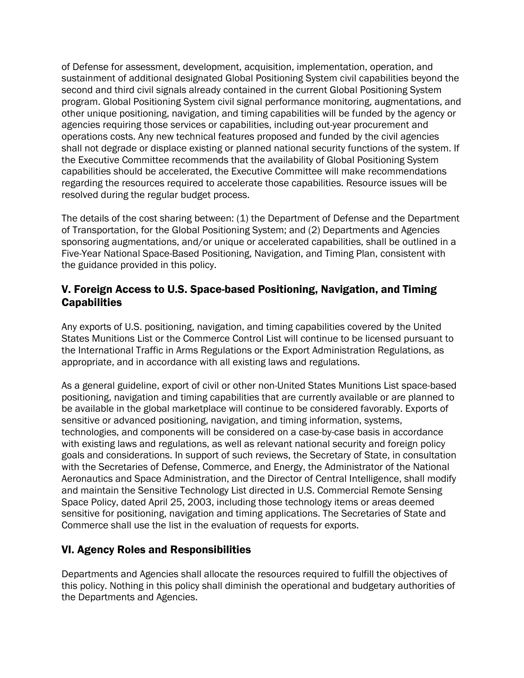of Defense for assessment, development, acquisition, implementation, operation, and sustainment of additional designated Global Positioning System civil capabilities beyond the second and third civil signals already contained in the current Global Positioning System program. Global Positioning System civil signal performance monitoring, augmentations, and other unique positioning, navigation, and timing capabilities will be funded by the agency or agencies requiring those services or capabilities, including out-year procurement and operations costs. Any new technical features proposed and funded by the civil agencies shall not degrade or displace existing or planned national security functions of the system. If the Executive Committee recommends that the availability of Global Positioning System capabilities should be accelerated, the Executive Committee will make recommendations regarding the resources required to accelerate those capabilities. Resource issues will be resolved during the regular budget process.

The details of the cost sharing between: (1) the Department of Defense and the Department of Transportation, for the Global Positioning System; and (2) Departments and Agencies sponsoring augmentations, and/or unique or accelerated capabilities, shall be outlined in a Five-Year National Space-Based Positioning, Navigation, and Timing Plan, consistent with the guidance provided in this policy.

## V. Foreign Access to U.S. Space-based Positioning, Navigation, and Timing **Capabilities**

Any exports of U.S. positioning, navigation, and timing capabilities covered by the United States Munitions List or the Commerce Control List will continue to be licensed pursuant to the International Traffic in Arms Regulations or the Export Administration Regulations, as appropriate, and in accordance with all existing laws and regulations.

As a general guideline, export of civil or other non-United States Munitions List space-based positioning, navigation and timing capabilities that are currently available or are planned to be available in the global marketplace will continue to be considered favorably. Exports of sensitive or advanced positioning, navigation, and timing information, systems, technologies, and components will be considered on a case-by-case basis in accordance with existing laws and regulations, as well as relevant national security and foreign policy goals and considerations. In support of such reviews, the Secretary of State, in consultation with the Secretaries of Defense, Commerce, and Energy, the Administrator of the National Aeronautics and Space Administration, and the Director of Central Intelligence, shall modify and maintain the Sensitive Technology List directed in U.S. Commercial Remote Sensing Space Policy, dated April 25, 2003, including those technology items or areas deemed sensitive for positioning, navigation and timing applications. The Secretaries of State and Commerce shall use the list in the evaluation of requests for exports.

### VI. Agency Roles and Responsibilities

Departments and Agencies shall allocate the resources required to fulfill the objectives of this policy. Nothing in this policy shall diminish the operational and budgetary authorities of the Departments and Agencies.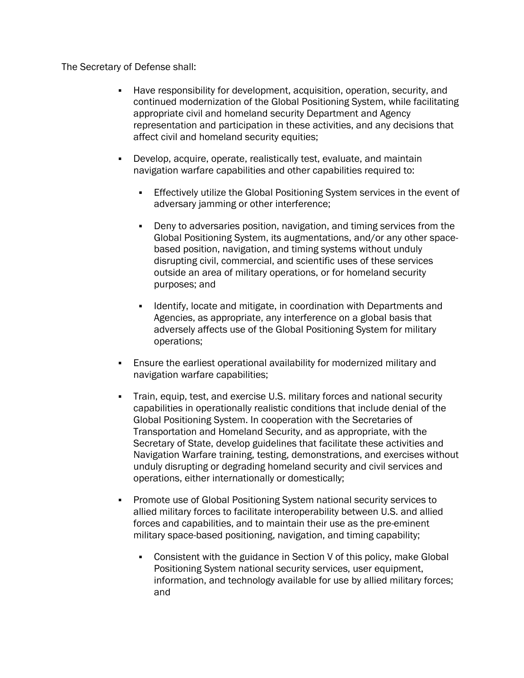The Secretary of Defense shall:

- Have responsibility for development, acquisition, operation, security, and continued modernization of the Global Positioning System, while facilitating appropriate civil and homeland security Department and Agency representation and participation in these activities, and any decisions that affect civil and homeland security equities;
- Develop, acquire, operate, realistically test, evaluate, and maintain navigation warfare capabilities and other capabilities required to:
	- **Effectively utilize the Global Positioning System services in the event of** adversary jamming or other interference;
	- Deny to adversaries position, navigation, and timing services from the Global Positioning System, its augmentations, and/or any other spacebased position, navigation, and timing systems without unduly disrupting civil, commercial, and scientific uses of these services outside an area of military operations, or for homeland security purposes; and
	- Identify, locate and mitigate, in coordination with Departments and Agencies, as appropriate, any interference on a global basis that adversely affects use of the Global Positioning System for military operations;
- Ensure the earliest operational availability for modernized military and navigation warfare capabilities;
- Train, equip, test, and exercise U.S. military forces and national security capabilities in operationally realistic conditions that include denial of the Global Positioning System. In cooperation with the Secretaries of Transportation and Homeland Security, and as appropriate, with the Secretary of State, develop guidelines that facilitate these activities and Navigation Warfare training, testing, demonstrations, and exercises without unduly disrupting or degrading homeland security and civil services and operations, either internationally or domestically;
- Promote use of Global Positioning System national security services to allied military forces to facilitate interoperability between U.S. and allied forces and capabilities, and to maintain their use as the pre-eminent military space-based positioning, navigation, and timing capability;
	- Consistent with the guidance in Section V of this policy, make Global Positioning System national security services, user equipment, information, and technology available for use by allied military forces; and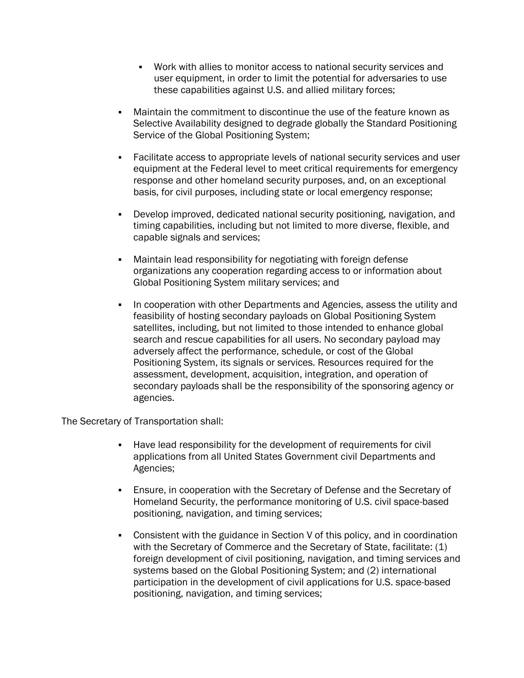- Work with allies to monitor access to national security services and user equipment, in order to limit the potential for adversaries to use these capabilities against U.S. and allied military forces;
- Maintain the commitment to discontinue the use of the feature known as Selective Availability designed to degrade globally the Standard Positioning Service of the Global Positioning System;
- Facilitate access to appropriate levels of national security services and user equipment at the Federal level to meet critical requirements for emergency response and other homeland security purposes, and, on an exceptional basis, for civil purposes, including state or local emergency response;
- Develop improved, dedicated national security positioning, navigation, and timing capabilities, including but not limited to more diverse, flexible, and capable signals and services;
- Maintain lead responsibility for negotiating with foreign defense organizations any cooperation regarding access to or information about Global Positioning System military services; and
- In cooperation with other Departments and Agencies, assess the utility and feasibility of hosting secondary payloads on Global Positioning System satellites, including, but not limited to those intended to enhance global search and rescue capabilities for all users. No secondary payload may adversely affect the performance, schedule, or cost of the Global Positioning System, its signals or services. Resources required for the assessment, development, acquisition, integration, and operation of secondary payloads shall be the responsibility of the sponsoring agency or agencies.

The Secretary of Transportation shall:

- Have lead responsibility for the development of requirements for civil applications from all United States Government civil Departments and Agencies;
- Ensure, in cooperation with the Secretary of Defense and the Secretary of Homeland Security, the performance monitoring of U.S. civil space-based positioning, navigation, and timing services;
- Consistent with the guidance in Section V of this policy, and in coordination with the Secretary of Commerce and the Secretary of State, facilitate: (1) foreign development of civil positioning, navigation, and timing services and systems based on the Global Positioning System; and (2) international participation in the development of civil applications for U.S. space-based positioning, navigation, and timing services;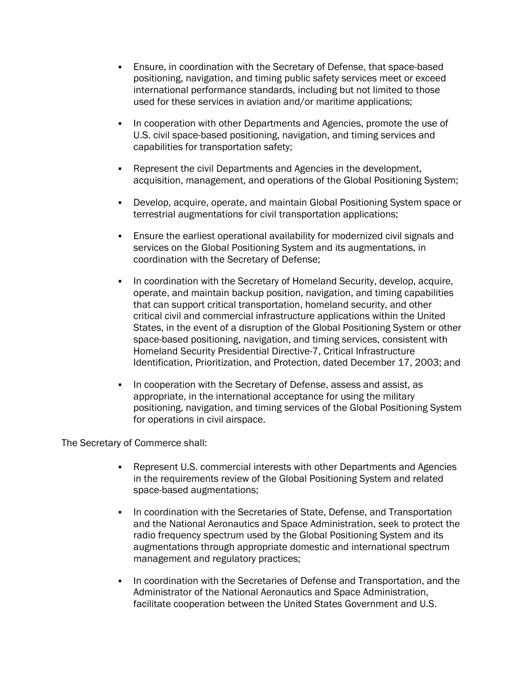- Ensure, in coordination with the Secretary of Defense, that space-based positioning, navigation, and timing public safety services meet or exceed international performance standards, including but not limited to those used for these services in aviation and/or maritime applications;
- In cooperation with other Departments and Agencies, promote the use of U.S. civil space-based positioning, navigation, and timing services and capabilities for transportation safety;
- Represent the civil Departments and Agencies in the development, acquisition, management, and operations of the Global Positioning System;
- Develop, acquire, operate, and maintain Global Positioning System space or terrestrial augmentations for civil transportation applications;
- Ensure the earliest operational availability for modernized civil signals and services on the Global Positioning System and its augmentations, in coordination with the Secretary of Defense;
- In coordination with the Secretary of Homeland Security, develop, acquire, operate, and maintain backup position, navigation, and timing capabilities that can support critical transportation, homeland security, and other critical civil and commercial infrastructure applications within the United States, in the event of a disruption of the Global Positioning System or other space-based positioning, navigation, and timing services, consistent with Homeland Security Presidential Directive-7, Critical Infrastructure Identification, Prioritization, and Protection, dated December 17, 2003; and
- In cooperation with the Secretary of Defense, assess and assist, as appropriate, in the international acceptance for using the military positioning, navigation, and timing services of the Global Positioning System for operations in civil airspace.

The Secretary of Commerce shall:

- Represent U.S. commercial interests with other Departments and Agencies in the requirements review of the Global Positioning System and related space-based augmentations;
- In coordination with the Secretaries of State, Defense, and Transportation and the National Aeronautics and Space Administration, seek to protect the radio frequency spectrum used by the Global Positioning System and its augmentations through appropriate domestic and international spectrum management and regulatory practices;
- In coordination with the Secretaries of Defense and Transportation, and the Administrator of the National Aeronautics and Space Administration, facilitate cooperation between the United States Government and U.S.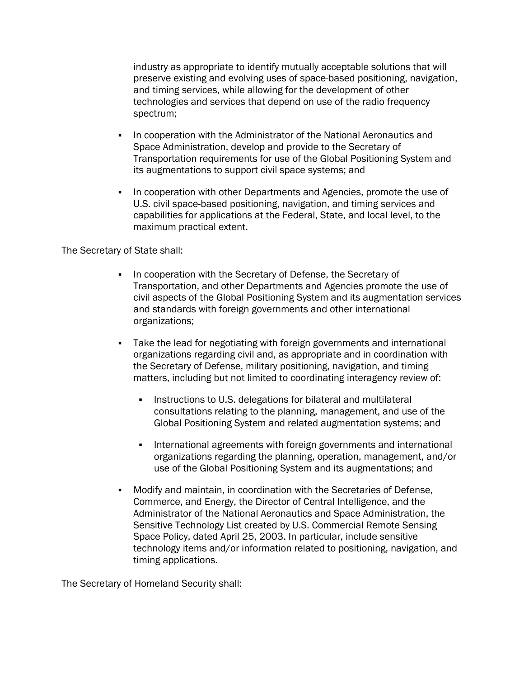industry as appropriate to identify mutually acceptable solutions that will preserve existing and evolving uses of space-based positioning, navigation, and timing services, while allowing for the development of other technologies and services that depend on use of the radio frequency spectrum;

- In cooperation with the Administrator of the National Aeronautics and Space Administration, develop and provide to the Secretary of Transportation requirements for use of the Global Positioning System and its augmentations to support civil space systems; and
- In cooperation with other Departments and Agencies, promote the use of U.S. civil space-based positioning, navigation, and timing services and capabilities for applications at the Federal, State, and local level, to the maximum practical extent.

The Secretary of State shall:

- In cooperation with the Secretary of Defense, the Secretary of Transportation, and other Departments and Agencies promote the use of civil aspects of the Global Positioning System and its augmentation services and standards with foreign governments and other international organizations;
- Take the lead for negotiating with foreign governments and international organizations regarding civil and, as appropriate and in coordination with the Secretary of Defense, military positioning, navigation, and timing matters, including but not limited to coordinating interagency review of:
	- Instructions to U.S. delegations for bilateral and multilateral consultations relating to the planning, management, and use of the Global Positioning System and related augmentation systems; and
	- International agreements with foreign governments and international organizations regarding the planning, operation, management, and/or use of the Global Positioning System and its augmentations; and
- Modify and maintain, in coordination with the Secretaries of Defense, Commerce, and Energy, the Director of Central Intelligence, and the Administrator of the National Aeronautics and Space Administration, the Sensitive Technology List created by U.S. Commercial Remote Sensing Space Policy, dated April 25, 2003. In particular, include sensitive technology items and/or information related to positioning, navigation, and timing applications.

The Secretary of Homeland Security shall: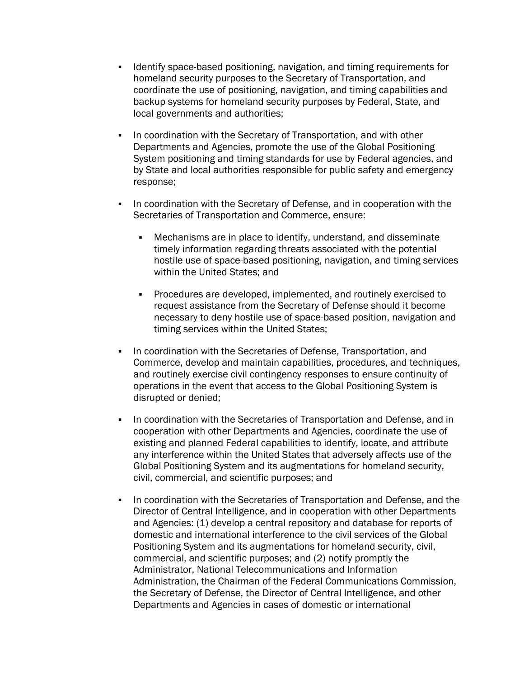- Identify space-based positioning, navigation, and timing requirements for homeland security purposes to the Secretary of Transportation, and coordinate the use of positioning, navigation, and timing capabilities and backup systems for homeland security purposes by Federal, State, and local governments and authorities;
- In coordination with the Secretary of Transportation, and with other Departments and Agencies, promote the use of the Global Positioning System positioning and timing standards for use by Federal agencies, and by State and local authorities responsible for public safety and emergency response;
- In coordination with the Secretary of Defense, and in cooperation with the Secretaries of Transportation and Commerce, ensure:
	- Mechanisms are in place to identify, understand, and disseminate timely information regarding threats associated with the potential hostile use of space-based positioning, navigation, and timing services within the United States; and
	- Procedures are developed, implemented, and routinely exercised to request assistance from the Secretary of Defense should it become necessary to deny hostile use of space-based position, navigation and timing services within the United States;
- In coordination with the Secretaries of Defense, Transportation, and Commerce, develop and maintain capabilities, procedures, and techniques, and routinely exercise civil contingency responses to ensure continuity of operations in the event that access to the Global Positioning System is disrupted or denied;
- In coordination with the Secretaries of Transportation and Defense, and in cooperation with other Departments and Agencies, coordinate the use of existing and planned Federal capabilities to identify, locate, and attribute any interference within the United States that adversely affects use of the Global Positioning System and its augmentations for homeland security, civil, commercial, and scientific purposes; and
- In coordination with the Secretaries of Transportation and Defense, and the Director of Central Intelligence, and in cooperation with other Departments and Agencies: (1) develop a central repository and database for reports of domestic and international interference to the civil services of the Global Positioning System and its augmentations for homeland security, civil, commercial, and scientific purposes; and (2) notify promptly the Administrator, National Telecommunications and Information Administration, the Chairman of the Federal Communications Commission, the Secretary of Defense, the Director of Central Intelligence, and other Departments and Agencies in cases of domestic or international